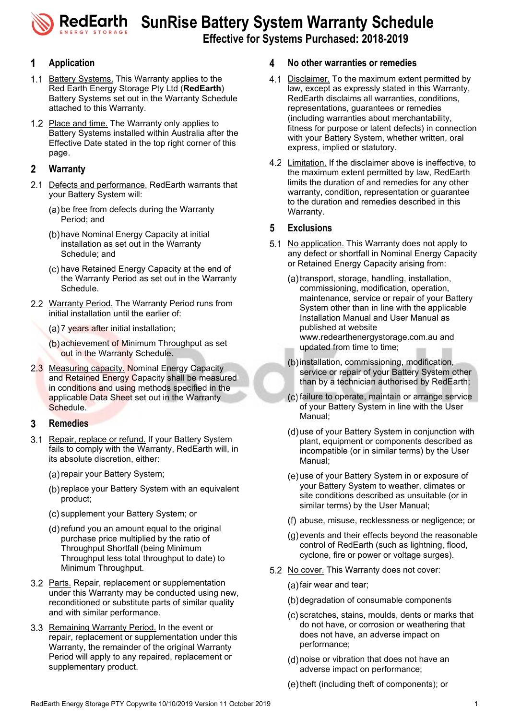**RedEarth** SunRise Battery System Warranty Schedule

**Effective for Systems Purchased: 2018-2019**

# **Application**

- 1.1 Battery Systems. This Warranty applies to the Red Earth Energy Storage Pty Ltd (**RedEarth**) Battery Systems set out in the Warranty Schedule attached to this Warranty.
- 1.2 Place and time. The Warranty only applies to Battery Systems installed within Australia after the Effective Date stated in the top right corner of this page.

# $\mathbf{2}$ **Warranty**

- 2.1 Defects and performance. RedEarth warrants that your Battery System will:
	- (a) be free from defects during the Warranty Period; and
	- (b) have Nominal Energy Capacity at initial installation as set out in the Warranty Schedule; and
	- (c) have Retained Energy Capacity at the end of the Warranty Period as set out in the Warranty Schedule.
- 2.2 Warranty Period. The Warranty Period runs from initial installation until the earlier of:
	- (a) 7 years after initial installation;
	- $(b)$  achievement of Minimum Throughput as set out in the Warranty Schedule.
- 2.3 Measuring capacity. Nominal Energy Capacity and Retained Energy Capacity shall be measured in conditions and using methods specified in the applicable Data Sheet set out in the Warranty Schedule.

# 3 **Remedies**

- 3.1 Repair, replace or refund. If your Battery System fails to comply with the Warranty, RedEarth will, in its absolute discretion, either:
	- (a) repair your Battery System;
	- (b) replace your Battery System with an equivalent product;
	- (c) supplement your Battery System; or
	- (d) refund you an amount equal to the original purchase price multiplied by the ratio of Throughput Shortfall (being Minimum Throughput less total throughput to date) to Minimum Throughput.
- 3.2 Parts. Repair, replacement or supplementation under this Warranty may be conducted using new, reconditioned or substitute parts of similar quality and with similar performance.
- 3.3 Remaining Warranty Period. In the event or repair, replacement or supplementation under this Warranty, the remainder of the original Warranty Period will apply to any repaired, replacement or supplementary product.

### Δ **No other warranties or remedies**

- 4.1 Disclaimer. To the maximum extent permitted by law, except as expressly stated in this Warranty, RedEarth disclaims all warranties, conditions, representations, guarantees or remedies (including warranties about merchantability, fitness for purpose or latent defects) in connection with your Battery System, whether written, oral express, implied or statutory.
- 4.2 Limitation. If the disclaimer above is ineffective, to the maximum extent permitted by law, RedEarth limits the duration of and remedies for any other warranty, condition, representation or guarantee to the duration and remedies described in this Warranty.

### 5 **Exclusions**

- 5.1 No application. This Warranty does not apply to any defect or shortfall in Nominal Energy Capacity or Retained Energy Capacity arising from:
	- (a) transport, storage, handling, installation, commissioning, modification, operation, maintenance, service or repair of your Battery System other than in line with the applicable Installation Manual and User Manual as published at website www.redearthenergystorage.com.au and updated from time to time;
	- (b) installation, commissioning, modification, service or repair of your Battery System other than by a technician authorised by RedEarth;
	- (c) failure to operate, maintain or arrange service of your Battery System in line with the User Manual;
	- (d) use of your Battery System in conjunction with plant, equipment or components described as incompatible (or in similar terms) by the User Manual;
	- (e) use of your Battery System in or exposure of your Battery System to weather, climates or site conditions described as unsuitable (or in similar terms) by the User Manual;
	- abuse, misuse, recklessness or negligence; or
	- $(g)$  events and their effects beyond the reasonable control of RedEarth (such as lightning, flood, cyclone, fire or power or voltage surges).
- 5.2 No cover. This Warranty does not cover:
	- $(a)$  fair wear and tear;
	- (b) degradation of consumable components
	- (c) scratches, stains, moulds, dents or marks that do not have, or corrosion or weathering that does not have, an adverse impact on performance;
	- (d) noise or vibration that does not have an adverse impact on performance;
	- (e) theft (including theft of components); or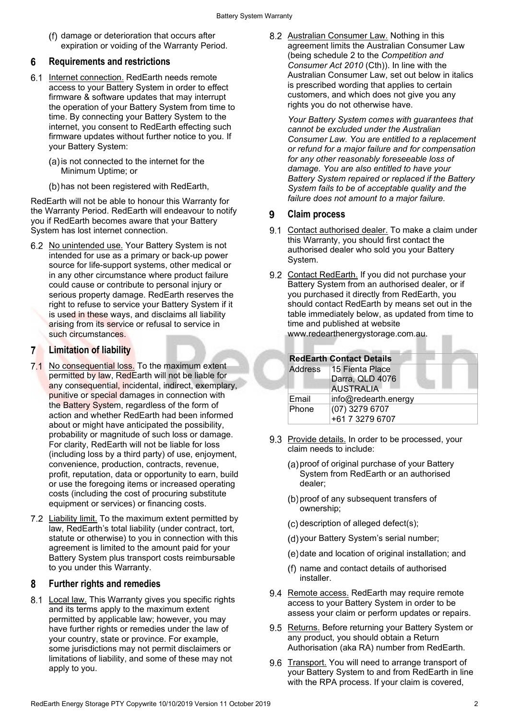(f) damage or deterioration that occurs after expiration or voiding of the Warranty Period.

# **Requirements and restrictions** 6

- 6.1 Internet connection. RedEarth needs remote access to your Battery System in order to effect firmware & software updates that may interrupt the operation of your Battery System from time to time. By connecting your Battery System to the internet, you consent to RedEarth effecting such firmware updates without further notice to you. If your Battery System:
	- $(a)$  is not connected to the internet for the Minimum Uptime; or
	- (b) has not been registered with RedEarth,

RedEarth will not be able to honour this Warranty for the Warranty Period. RedEarth will endeavour to notify you if RedEarth becomes aware that your Battery System has lost internet connection.

6.2 No unintended use. Your Battery System is not intended for use as a primary or back-up power source for life-support systems, other medical or in any other circumstance where product failure could cause or contribute to personal injury or serious property damage. RedEarth reserves the right to refuse to service your Battery System if it is used in these ways, and disclaims all liability arising from its service or refusal to service in such circumstances.

# **Limitation of liability**

- 7.1 No consequential loss. To the maximum extent permitted by law, RedEarth will not be liable for any consequential, incidental, indirect, exemplary, punitive or special damages in connection with the Battery System, regardless of the form of action and whether RedEarth had been informed about or might have anticipated the possibility, probability or magnitude of such loss or damage. For clarity, RedEarth will not be liable for loss (including loss by a third party) of use, enjoyment, convenience, production, contracts, revenue, profit, reputation, data or opportunity to earn, build or use the foregoing items or increased operating costs (including the cost of procuring substitute equipment or services) or financing costs.
- 7.2 Liability limit. To the maximum extent permitted by law, RedEarth's total liability (under contract, tort, statute or otherwise) to you in connection with this agreement is limited to the amount paid for your Battery System plus transport costs reimbursable to you under this Warranty.

# 8 **Further rights and remedies**

8.1 Local law. This Warranty gives you specific rights and its terms apply to the maximum extent permitted by applicable law; however, you may have further rights or remedies under the law of your country, state or province. For example, some jurisdictions may not permit disclaimers or limitations of liability, and some of these may not apply to you.

8.2 Australian Consumer Law. Nothing in this agreement limits the Australian Consumer Law (being schedule 2 to the *Competition and Consumer Act 2010* (Cth)). In line with the Australian Consumer Law, set out below in italics is prescribed wording that applies to certain customers, and which does not give you any rights you do not otherwise have.

*Your Battery System comes with guarantees that cannot be excluded under the Australian Consumer Law. You are entitled to a replacement or refund for a major failure and for compensation for any other reasonably foreseeable loss of damage. You are also entitled to have your Battery System repaired or replaced if the Battery System fails to be of acceptable quality and the failure does not amount to a major failure.*

# $\mathbf{q}$ **Claim process**

- 9.1 Contact authorised dealer. To make a claim under this Warranty, you should first contact the authorised dealer who sold you your Battery System.
- 9.2 Contact RedEarth. If you did not purchase your Battery System from an authorised dealer, or if you purchased it directly from RedEarth, you should contact RedEarth by means set out in the table immediately below, as updated from time to time and published at website www.redearthenergystorage.com.au.

|         | <b>RedEarth Contact Details</b> |  |
|---------|---------------------------------|--|
| Address | 15 Fienta Place                 |  |
|         | Darra, QLD 4076                 |  |
|         | <b>AUSTRALIA</b>                |  |
| Email   | info@redearth.energy            |  |
| Phone   | (07) 3279 6707                  |  |
|         | +61 7 3279 6707                 |  |

- 9.3 Provide details. In order to be processed, your claim needs to include:
	- (a) proof of original purchase of your Battery System from RedEarth or an authorised dealer;
	- (b) proof of any subsequent transfers of ownership;
	- $(c)$  description of alleged defect $(s)$ ;
	- (d) your Battery System's serial number;
	- (e) date and location of original installation; and
	- name and contact details of authorised installer.
- 9.4 Remote access. RedEarth may require remote access to your Battery System in order to be assess your claim or perform updates or repairs.
- 9.5 Returns. Before returning your Battery System or any product, you should obtain a Return Authorisation (aka RA) number from RedEarth.
- 9.6 Transport. You will need to arrange transport of your Battery System to and from RedEarth in line with the RPA process. If your claim is covered,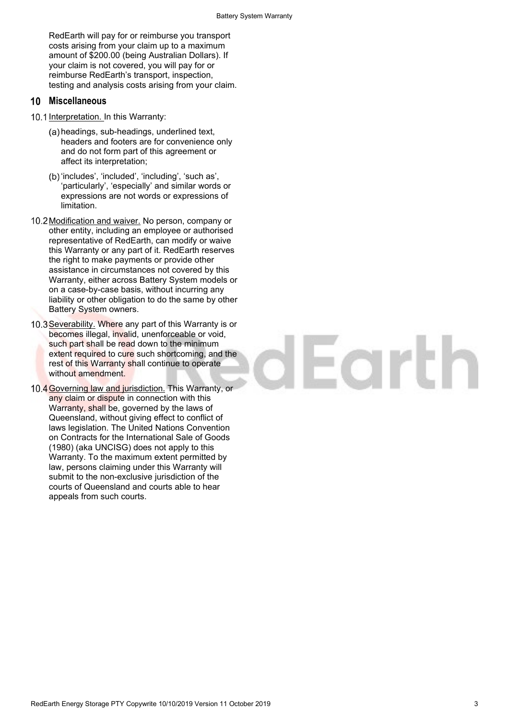RedEarth will pay for or reimburse you transport costs arising from your claim up to a maximum amount of \$200.00 (being Australian Dollars). If your claim is not covered, you will pay for or reimburse RedEarth's transport, inspection, testing and analysis costs arising from your claim.

# **Miscellaneous**

- 10.1 Interpretation. In this Warranty:
	- (a) headings, sub-headings, underlined text, headers and footers are for convenience only and do not form part of this agreement or affect its interpretation;
	- (b) 'includes', 'included', 'including', 'such as', 'particularly', 'especially' and similar words or expressions are not words or expressions of limitation.
- 10.2 Modification and waiver. No person, company or other entity, including an employee or authorised representative of RedEarth, can modify or waive this Warranty or any part of it. RedEarth reserves the right to make payments or provide other assistance in circumstances not covered by this Warranty, either across Battery System models or on a case-by-case basis, without incurring any liability or other obligation to do the same by other Battery System owners.
- 10.3 Severability. Where any part of this Warranty is or becomes illegal, invalid, unenforceable or void, such part shall be read down to the minimum extent required to cure such shortcoming, and the rest of this Warranty shall continue to operate without amendment.
- 10.4 Governing law and jurisdiction. This Warranty, or any claim or dispute in connection with this Warranty, shall be, governed by the laws of Queensland, without giving effect to conflict of laws legislation. The United Nations Convention on Contracts for the International Sale of Goods (1980) (aka UNCISG) does not apply to this Warranty. To the maximum extent permitted by law, persons claiming under this Warranty will submit to the non-exclusive jurisdiction of the courts of Queensland and courts able to hear appeals from such courts.

# lEarth